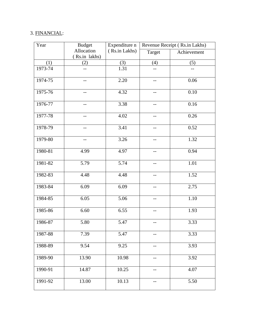## 3. FINANCIAL:

| Year    | <b>Budget</b> | Expenditure n | Revenue Receipt (Rs.in Lakhs) |             |
|---------|---------------|---------------|-------------------------------|-------------|
|         | Allocation    | (Rs.in Lakhs) | Target                        | Achievement |
|         | (Rs.in lakhs) |               |                               |             |
| (1)     | (2)           | (3)           | (4)                           | (5)         |
| 1973-74 |               | 1.31          |                               |             |
| 1974-75 | --            | 2.20          | $-$                           | 0.06        |
| 1975-76 | --            | 4.32          | $-$                           | 0.10        |
| 1976-77 | --            | 3.38          | $-$                           | 0.16        |
| 1977-78 | $-$           | 4.02          | $-$                           | 0.26        |
| 1978-79 |               | 3.41          |                               | 0.52        |
| 1979-80 | --            | 3.26          |                               | 1.32        |
| 1980-81 | 4.99          | 4.97          | $--$                          | 0.94        |
| 1981-82 | 5.79          | 5.74          | $-$                           | 1.01        |
| 1982-83 | 4.48          | 4.48          |                               | 1.52        |
| 1983-84 | 6.09          | 6.09          | $\overline{\phantom{m}}$      | 2.75        |
| 1984-85 | 6.05          | 5.06          | $-$                           | 1.10        |
| 1985-86 | 6.60          | 6.55          | --                            | 1.93        |
| 1986-87 | 5.80          | 5.47          |                               | 3.33        |
| 1987-88 | 7.39          | 5.47          | $-$                           | 3.33        |
| 1988-89 | 9.54          | 9.25          | --                            | 3.93        |
| 1989-90 | 13.90         | 10.98         | $-$                           | 3.92        |
| 1990-91 | 14.87         | 10.25         |                               | 4.07        |
| 1991-92 | 13.00         | 10.13         | --                            | 5.50        |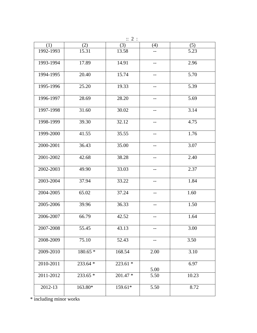| $\therefore$ 2 : |           |           |                   |       |  |  |
|------------------|-----------|-----------|-------------------|-------|--|--|
| (1)              | (2)       | (3)       | (4)               | (5)   |  |  |
| 1992-1993        | 15.31     | 13.58     |                   | 5.23  |  |  |
| 1993-1994        | 17.89     | 14.91     | $-$               | 2.96  |  |  |
| 1994-1995        | 20.40     | 15.74     |                   | 5.70  |  |  |
| 1995-1996        | 25.20     | 19.33     | $-$               | 5.39  |  |  |
| 1996-1997        | 28.69     | 28.20     | $\qquad \qquad -$ | 5.69  |  |  |
| 1997-1998        | 31.60     | 30.02     |                   | 3.14  |  |  |
| 1998-1999        | 39.30     | 32.12     | $- -$             | 4.75  |  |  |
| 1999-2000        | 41.55     | 35.55     | $\qquad \qquad -$ | 1.76  |  |  |
| 2000-2001        | 36.43     | 35.00     |                   | 3.07  |  |  |
| 2001-2002        | 42.68     | 38.28     | $-$               | 2.40  |  |  |
| 2002-2003        | 49.90     | 33.03     | $\qquad \qquad -$ | 2.37  |  |  |
| 2003-2004        | 37.94     | 33.22     | $-$               | 1.84  |  |  |
| 2004-2005        | 65.02     | 37.24     | --                | 1.60  |  |  |
| 2005-2006        | 39.96     | 36.33     | --                | 1.50  |  |  |
| 2006-2007        | 66.79     | 42.52     |                   | 1.64  |  |  |
| 2007-2008        | 55.45     | 43.13     | $- -$             | 3.00  |  |  |
| 2008-2009        | 75.10     | 52.43     | $- -$             | 3.50  |  |  |
| 2009-2010        | $180.65*$ | 168.54    | 2.00              | 3.10  |  |  |
| 2010-2011        | 233.64 *  | $223.61*$ | 5.00              | 6.97  |  |  |
| 2011-2012        | $233.65*$ | $201.47*$ | 5.50              | 10.23 |  |  |
| 2012-13          | 163.80*   | 159.61*   | 5.50              | 8.72  |  |  |

\* including minor works